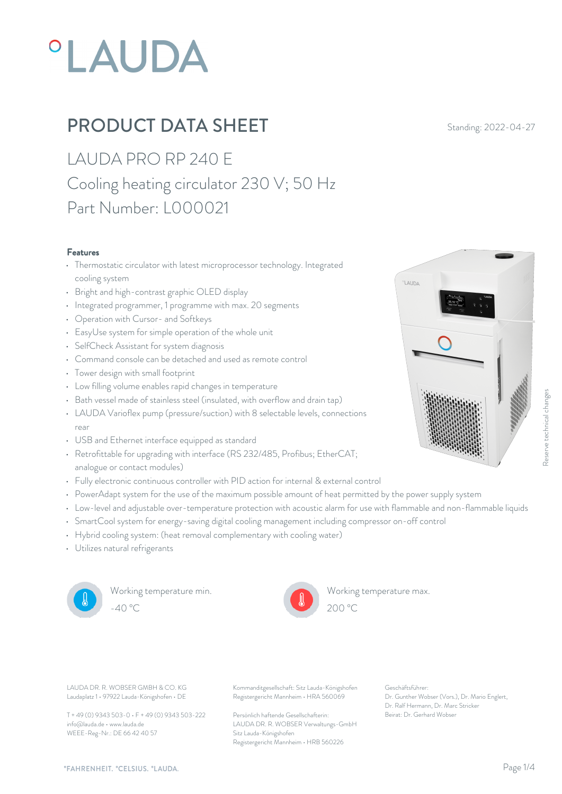# **°LAUDA**

## **PRODUCT DATA SHEET** Standing: 2022-04-27

LAUDA PRO RP 240 E Cooling heating circulator 230 V; 50 Hz Part Number: L000021

#### Features

- Thermostatic circulator with latest microprocessor technology. Integrated cooling system
- Bright and high-contrast graphic OLED display
- Integrated programmer, 1 programme with max. 20 segments
- Operation with Cursor- and Softkeys
- EasyUse system for simple operation of the whole unit
- SelfCheck Assistant for system diagnosis
- Command console can be detached and used as remote control
- Tower design with small footprint
- Low filling volume enables rapid changes in temperature
- Bath vessel made of stainless steel (insulated, with overflow and drain tap)
- LAUDA Varioflex pump (pressure/suction) with 8 selectable levels, connections rear and the contract of the contract of the contract of the contract of the contract of the contract of the contract of the contract of the contract of the contract of the contract of the contract of the contract of the c
- USB and Ethernet interface equipped as standard
- Retrofittable for upgrading with interface (RS 232/485, Profibus; EtherCAT; analogue or contact modules)
- Fully electronic continuous controller with PID action for internal & external control
- PowerAdapt system for the use of the maximum possible amount of heat permitted by the power supply system
- Low-level and adjustable over-temperature protection with acoustic alarm for use with flammable and non-flammable liquids
- SmartCool system for energy-saving digital cooling management including compressor on-off control
- Hybrid cooling system: (heat removal complementary with cooling water)
- Utilizes natural refrigerants



Working temperature min.



Working temperature max.

LAUDA

Laudaplatz 1 • 97922 Lauda-Königshofen • DE

T + 49 (0) 9343 503-0 • F + 49 (0) 9343 503-222 info@lauda.de • www.lauda.de WEEE-Reg-Nr.: DE 66 42 40 57

LAUDA DR. R. WOBSER GMBH & CO. KG Kommanditgesellschaft: Sitz Lauda-Königshofen Geschäftsführer: Registergericht Mannheim • HRA 560069

> Persönlich haftende Gesellschafterin: Beirat: Dr. Gerhard Wobse LAUDA DR. R. WOBSER Verwaltungs-GmbH Sitz Lauda-Königshofen Registergericht Mannheim • HRB 560226

Geschäftsführer: Dr. Gunther Wobser (Vors.), Dr. Mario Englert, Dr. Ralf Hermann, Dr. Marc Stricker Beitrage Maria (1998)<br>Beitrage Theorem (1998)<br>Beitrage Theorem (1998)<br>Beitrage Theorem (1998)<br>Seschäftsführer:<br>Dr. Genter Wobser (Vors.), Dr. Mario Englert,<br>Dr. Reli Hermann, Dr. Mario Englert,<br>Deirat: Dr. Gerhard Wobser<br>B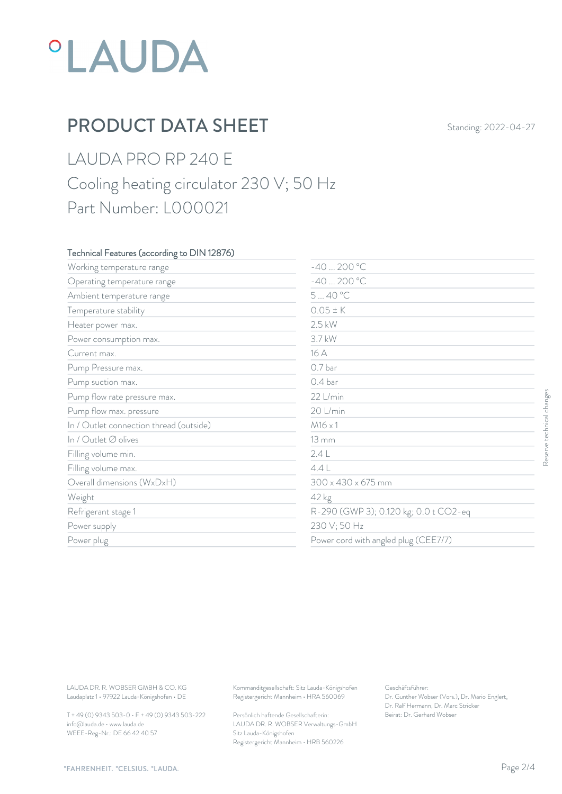## *°LAUDA*

## PRODUCT DATA SHEET Standing: 2022-04-27

### LAUDA PRO RP 240 E Cooling heating circulator 230 V; 50 Hz Part Number: L000021

#### Technical Features (according to DIN 12876)

| Working temperature range                                                        | $-40200 °C$                                                                            |                                                                                                           |                           |  |
|----------------------------------------------------------------------------------|----------------------------------------------------------------------------------------|-----------------------------------------------------------------------------------------------------------|---------------------------|--|
| Operating temperature range                                                      | $-40200 °C$                                                                            |                                                                                                           |                           |  |
| Ambient temperature range                                                        | 540 °C                                                                                 | $0.05 \pm K$<br>$2.5$ kW<br>3.7 kW<br>16 A                                                                |                           |  |
| Temperature stability                                                            |                                                                                        |                                                                                                           |                           |  |
| Heater power max.                                                                |                                                                                        |                                                                                                           |                           |  |
| Power consumption max.                                                           |                                                                                        |                                                                                                           |                           |  |
| Current max.                                                                     |                                                                                        |                                                                                                           |                           |  |
| Pump Pressure max.                                                               | 0.7 bar                                                                                |                                                                                                           |                           |  |
| Pump suction max.                                                                | 0.4 bar                                                                                |                                                                                                           |                           |  |
| Pump flow rate pressure max.                                                     | 22 L/min                                                                               |                                                                                                           |                           |  |
| Pump flow max. pressure                                                          | 20 L/min                                                                               |                                                                                                           |                           |  |
| In / Outlet connection thread (outside)                                          | $M16 \times 1$                                                                         |                                                                                                           |                           |  |
| In / Outlet Ø olives                                                             | <b>13 mm</b>                                                                           |                                                                                                           |                           |  |
| Filling volume min.                                                              | 2.4L                                                                                   |                                                                                                           |                           |  |
| Filling volume max.                                                              | 4.4L                                                                                   | $300 \times 430 \times 675$ mm<br>42 kg<br>R-290 (GWP 3); 0.120 kg; 0.0 t CO2-eq                          |                           |  |
| Overall dimensions (WxDxH)                                                       |                                                                                        |                                                                                                           |                           |  |
| Weight                                                                           |                                                                                        |                                                                                                           |                           |  |
| Refrigerant stage 1                                                              |                                                                                        |                                                                                                           |                           |  |
| Power supply                                                                     | 230 V; 50 Hz                                                                           |                                                                                                           | Reserve technical changes |  |
| Power plug                                                                       |                                                                                        | Power cord with angled plug (CEE7/7)                                                                      |                           |  |
|                                                                                  |                                                                                        |                                                                                                           |                           |  |
| LAUDA DR. R. WOBSER GMBH & CO. KG<br>Laudaplatz 1 · 97922 Lauda-Königshofen · DE | Kommanditgesellschaft: Sitz Lauda-Königshofen<br>Registergericht Mannheim · HRA 560069 | Geschäftsführer:<br>Dr. Gunther Wobser (Vors.), Dr. Mario Englert,<br>Dr. Ralf Hermann, Dr. Marc Stricker |                           |  |
| T + 49 (0) 9343 503-0 · F + 49 (0) 9343 503-222                                  | Persönlich haftende Gesellschafterin:                                                  | Beirat: Dr. Gerhard Wobser                                                                                |                           |  |

T + 49 (0) 9343 503-0 • F + 49 (0) 9343 503-222 info@lauda.de • www.lauda.de WEEE-Reg-Nr.: DE 66 42 40 57

> Persönlich haftende Gesellschafterin: Beirat: Dr. Gerhard Wobse LAUDA DR. R. WOBSER Verwaltungs-GmbH Sitz Lauda-Königshofen Registergericht Mannheim • HRB 560226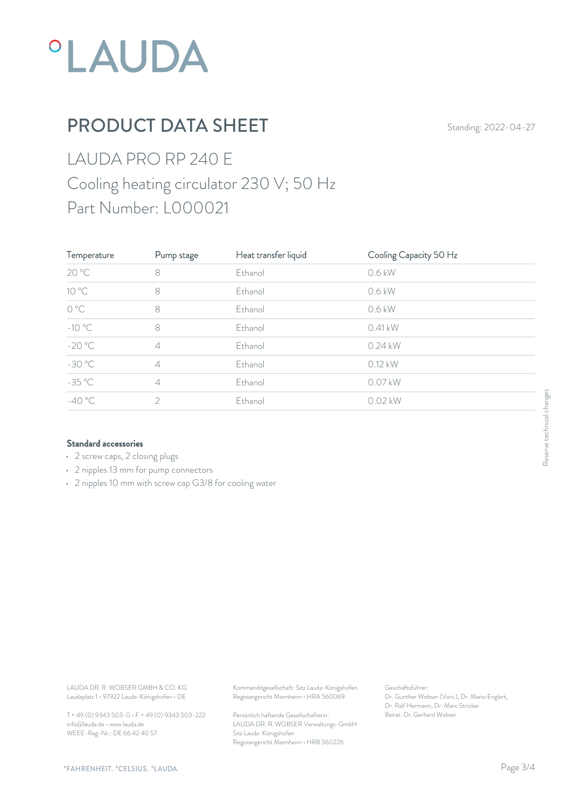

## PRODUCT DATA SHEET Standing: 2022-04-27

## LAUDA PRO RP 240 E Cooling heating circulator 230 V; 50 Hz Part Number: L000021

| Temperature                | Pump stage     | Heat transfer liquid | Cooling Capacity 50 Hz |     |
|----------------------------|----------------|----------------------|------------------------|-----|
| 20 °C                      | 8              | Ethanol              | 0.6 kW                 |     |
| $10\,^{\circ}\mathrm{C}$   | 8              | Ethanol              | 0.6 kW                 |     |
| $\mathrm{O}\ \mathrm{^oC}$ | 8              | Ethanol              | 0.6 kW                 |     |
| $-10\text{ °C}$            | 8              | Ethanol              | 0.41 kW                |     |
| $-20 °C$                   | $\overline{4}$ | Ethanol              | $0.24$ kW              |     |
| $-30 °C$                   | $\overline{4}$ | Ethanol              | 0.12 kW                |     |
| $-35^{\circ}$ C            | $\overline{4}$ | Ethanol              | 0.07 kW                |     |
| $-40 °C$                   | $\overline{2}$ | Ethanol              | $0.02$ kW              | ges |
|                            |                |                      |                        |     |

#### Standard accessories

- 2 screw caps, 2 closing plugs
- 2 nipples 13 mm for pump connectors
- 2 nipples 10 mm with screw cap G3/8 for cooling water

Laudaplatz 1 • 97922 Lauda-Königshofen • DE

T + 49 (0) 9343 503-0 • F + 49 (0) 9343 503-222 info@lauda.de • www.lauda.de WEEE-Reg-Nr.: DE 66 42 40 57

LAUDA DR. R. WOBSER GMBH & CO. KG Kommanditgesellschaft: Sitz Lauda-Königshofen Geschäftsführer: Registergericht Mannheim • HRA 560069

> Persönlich haftende Gesellschafterin: Beirat: Dr. Gerhard Wobse LAUDA DR. R. WOBSER Verwaltungs-GmbH Sitz Lauda-Königshofen Registergericht Mannheim • HRB 560226

Geschäftsführer: Dr. Gunther Wobser (Vors.), Dr. Mario Englert, Dr. Ralf Hermann, Dr. Marc Stricker Beschäftsführer:<br>Beischäftsführer:<br>Dr. Gunther Wobser (Vors.), Dr. Mario Englert,<br>Dr. Ralf Hermann, Dr. Marc Stricker<br>Beirat: Dr. Gerhard Wobser